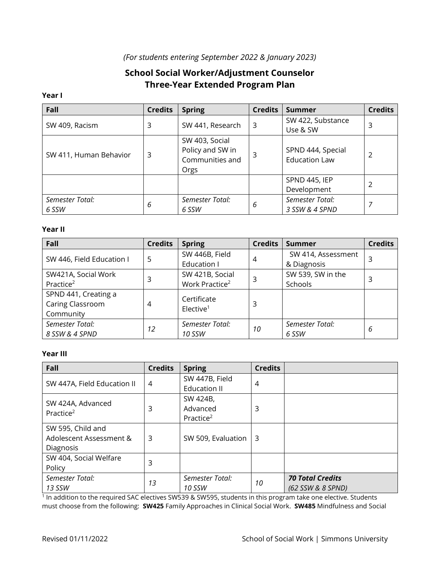# *(For students entering September 2022 & January 2023)*

# **School Social Worker/Adjustment Counselor Three-Year Extended Program Plan**

#### **Year I**

| Fall                   | <b>Credits</b> | <b>Spring</b>    | <b>Credits</b> | Summer               | <b>Credits</b> |
|------------------------|----------------|------------------|----------------|----------------------|----------------|
| SW 409, Racism         | 3              | SW 441, Research | 3              | SW 422, Substance    | 3              |
|                        |                |                  |                | Use & SW             |                |
|                        |                | SW 403, Social   |                |                      |                |
| SW 411, Human Behavior | 3              | Policy and SW in | 3              | SPND 444, Special    |                |
|                        |                | Communities and  |                | <b>Education Law</b> |                |
|                        |                | Orgs             |                |                      |                |
|                        |                |                  |                | SPND 445, IEP        |                |
|                        |                |                  |                | Development          |                |
| Semester Total:        | 6              | Semester Total:  | 6              | Semester Total:      |                |
| 6 SSW                  |                | 6 SSW            |                | 3 SSW & 4 SPND       |                |

### **Year II**

| Fall                      | <b>Credits</b> | <b>Spring</b>              | <b>Credits</b> | <b>Summer</b>      | <b>Credits</b> |
|---------------------------|----------------|----------------------------|----------------|--------------------|----------------|
| SW 446, Field Education I | 5              | SW 446B, Field             | 4              | SW 414, Assessment |                |
|                           |                | Education I                |                | & Diagnosis        |                |
| SW421A, Social Work       |                | SW 421B, Social            | 3              | SW 539, SW in the  | 3              |
| Practice <sup>2</sup>     | 3              | Work Practice <sup>2</sup> |                | Schools            |                |
| SPND 441, Creating a      |                | Certificate                |                |                    |                |
| Caring Classroom          | 4              | Elective <sup>1</sup>      | 3              |                    |                |
| Community                 |                |                            |                |                    |                |
| Semester Total:           | 12             | Semester Total:            | 10             | Semester Total:    | 6              |
| 8 SSW & 4 SPND            |                | <b>10 SSW</b>              |                | 6 SSW              |                |

## **Year III**

| Fall                                       | <b>Credits</b> | <b>Spring</b>         | <b>Credits</b> |                         |
|--------------------------------------------|----------------|-----------------------|----------------|-------------------------|
| SW 447A, Field Education II                | 4              | SW 447B, Field        | 4              |                         |
|                                            |                | <b>Education II</b>   |                |                         |
| SW 424A, Advanced<br>Practice <sup>2</sup> | 3              | SW 424B,              |                |                         |
|                                            |                | Advanced              | 3              |                         |
|                                            |                | Practice <sup>2</sup> |                |                         |
| SW 595, Child and                          |                |                       |                |                         |
| Adolescent Assessment &                    | 3              | SW 509, Evaluation    | -3             |                         |
| Diagnosis                                  |                |                       |                |                         |
| SW 404, Social Welfare                     | 3              |                       |                |                         |
| Policy                                     |                |                       |                |                         |
| Semester Total:                            | 13             | Semester Total:       | 10             | <b>70 Total Credits</b> |
| 13 SSW                                     |                | 10 SSW                |                | (62 SSW & 8 SPND)       |

1 In addition to the required SAC electives SW539 & SW595, students in this program take one elective. Students must choose from the following: **SW425** Family Approaches in Clinical Social Work. **SW485** Mindfulness and Social